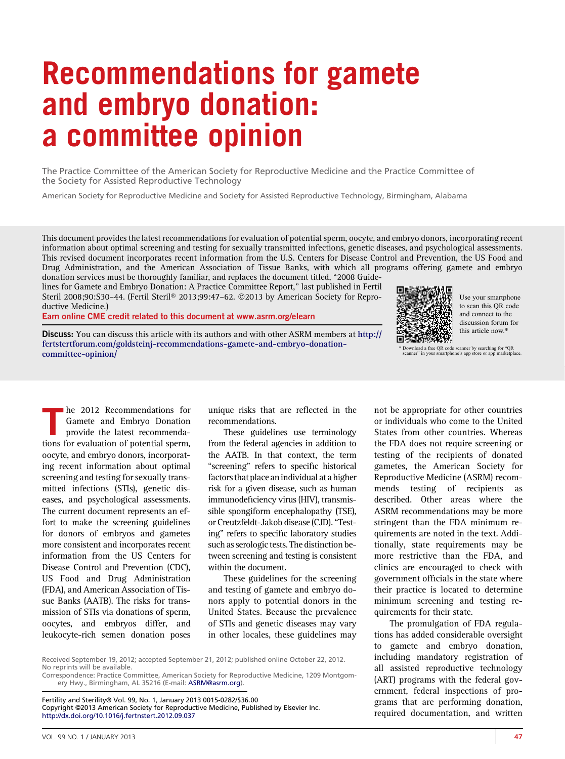# Recommendations for gamete and embryo donation: a committee opinion

The Practice Committee of the American Society for Reproductive Medicine and the Practice Committee of the Society for Assisted Reproductive Technology

American Society for Reproductive Medicine and Society for Assisted Reproductive Technology, Birmingham, Alabama

This document provides the latest recommendations for evaluation of potential sperm, oocyte, and embryo donors, incorporating recent information about optimal screening and testing for sexually transmitted infections, genetic diseases, and psychological assessments. This revised document incorporates recent information from the U.S. Centers for Disease Control and Prevention, the US Food and Drug Administration, and the American Association of Tissue Banks, with which all programs offering gamete and embryo donation services must be thoroughly familiar, and replaces the document titled, ''2008 Guide-

lines for Gamete and Embryo Donation: A Practice Committee Report,'' last published in Fertil Steril 2008;90:S30-44. (Fertil Steril® 2013;99:47-62. ©2013 by American Society for Reproductive Medicine.)

Earn online CME credit related to this document at [www.asrm.org/elearn](http://www.asrm.org/elearn)

Discuss: You can discuss this article with its authors and with other ASRM members at [http://](http://fertstertforum.com/goldsteinj-recommendations-gamete-and-embryo-donation-committee-opinion/) [fertstertforum.com/goldsteinj-recommendations-gamete-and-embryo-donation](http://fertstertforum.com/goldsteinj-recommendations-gamete-and-embryo-donation-committee-opinion/)[committee-opinion/](http://fertstertforum.com/goldsteinj-recommendations-gamete-and-embryo-donation-committee-opinion/)



Use your smartphone to scan this QR code and connect to the discussion forum for this article now.\*

\* Download a free QR code scanner by searching for "QR scanner" in your smartphone's app store or app marketplace.

 $\blacksquare$  he 2012 Recommendations for Gamete and Embryo Donation provide the latest recommendations for evaluation of potential sperm, oocyte, and embryo donors, incorporating recent information about optimal screening and testing for sexually transmitted infections (STIs), genetic diseases, and psychological assessments. The current document represents an effort to make the screening guidelines for donors of embryos and gametes more consistent and incorporates recent information from the US Centers for Disease Control and Prevention (CDC), US Food and Drug Administration (FDA), and American Association of Tissue Banks (AATB). The risks for transmission of STIs via donations of sperm, oocytes, and embryos differ, and leukocyte-rich semen donation poses

unique risks that are reflected in the recommendations.

These guidelines use terminology from the federal agencies in addition to the AATB. In that context, the term "screening" refers to specific historical factors that place an individual at a higher risk for a given disease, such as human immunodeficiency virus (HIV), transmissible spongiform encephalopathy (TSE), or Creutzfeldt-Jakob disease (CJD). ''Testing'' refers to specific laboratory studies such as serologic tests. The distinction between screening and testing is consistent within the document.

These guidelines for the screening and testing of gamete and embryo donors apply to potential donors in the United States. Because the prevalence of STIs and genetic diseases may vary in other locales, these guidelines may

Received September 19, 2012; accepted September 21, 2012; published online October 22, 2012. No reprints will be available.

Correspondence: Practice Committee, American Society for Reproductive Medicine, 1209 Montgom-ery Hwy., Birmingham, AL 35216 (E-mail: [ASRM@asrm.org](mailto:ASRM@asrm.org)).

Fertility and Sterility® Vol. 99, No. 1, January 2013 0015-0282/\$36.00 Copyright ©2013 American Society for Reproductive Medicine, Published by Elsevier Inc. <http://dx.doi.org/10.1016/j.fertnstert.2012.09.037>

not be appropriate for other countries or individuals who come to the United States from other countries. Whereas the FDA does not require screening or testing of the recipients of donated gametes, the American Society for Reproductive Medicine (ASRM) recommends testing of recipients as described. Other areas where the ASRM recommendations may be more stringent than the FDA minimum requirements are noted in the text. Additionally, state requirements may be more restrictive than the FDA, and clinics are encouraged to check with government officials in the state where their practice is located to determine minimum screening and testing requirements for their state.

The promulgation of FDA regulations has added considerable oversight to gamete and embryo donation, including mandatory registration of all assisted reproductive technology (ART) programs with the federal government, federal inspections of programs that are performing donation, required documentation, and written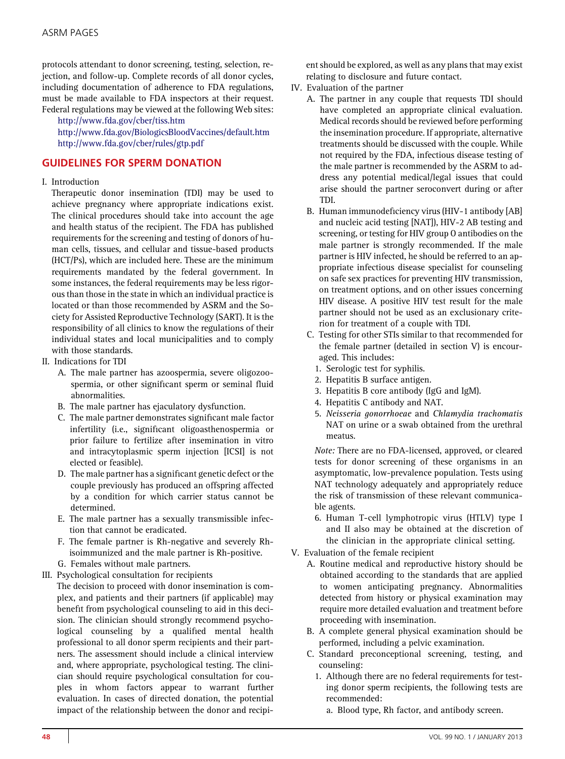protocols attendant to donor screening, testing, selection, rejection, and follow-up. Complete records of all donor cycles, including documentation of adherence to FDA regulations, must be made available to FDA inspectors at their request. Federal regulations may be viewed at the following Web sites:

<http://www.fda.gov/cber/tiss.htm> <http://www.fda.gov/BiologicsBloodVaccines/default.htm> <http://www.fda.gov/cber/rules/gtp.pdf>

### GUIDELINES FOR SPERM DONATION

#### I. Introduction

Therapeutic donor insemination (TDI) may be used to achieve pregnancy where appropriate indications exist. The clinical procedures should take into account the age and health status of the recipient. The FDA has published requirements for the screening and testing of donors of human cells, tissues, and cellular and tissue-based products (HCT/Ps), which are included here. These are the minimum requirements mandated by the federal government. In some instances, the federal requirements may be less rigorous than those in the state in which an individual practice is located or than those recommended by ASRM and the Society for Assisted Reproductive Technology (SART). It is the responsibility of all clinics to know the regulations of their individual states and local municipalities and to comply with those standards.

- II. Indications for TDI
	- A. The male partner has azoospermia, severe oligozoospermia, or other significant sperm or seminal fluid abnormalities.
	- B. The male partner has ejaculatory dysfunction.
	- C. The male partner demonstrates significant male factor infertility (i.e., significant oligoasthenospermia or prior failure to fertilize after insemination in vitro and intracytoplasmic sperm injection [ICSI] is not elected or feasible).
	- D. The male partner has a significant genetic defect or the couple previously has produced an offspring affected by a condition for which carrier status cannot be determined.
	- E. The male partner has a sexually transmissible infection that cannot be eradicated.
	- F. The female partner is Rh-negative and severely Rhisoimmunized and the male partner is Rh-positive.
	- G. Females without male partners.
- III. Psychological consultation for recipients

The decision to proceed with donor insemination is complex, and patients and their partners (if applicable) may benefit from psychological counseling to aid in this decision. The clinician should strongly recommend psychological counseling by a qualified mental health professional to all donor sperm recipients and their partners. The assessment should include a clinical interview and, where appropriate, psychological testing. The clinician should require psychological consultation for couples in whom factors appear to warrant further evaluation. In cases of directed donation, the potential impact of the relationship between the donor and recipient should be explored, as well as any plans that may exist relating to disclosure and future contact.

- IV. Evaluation of the partner
	- A. The partner in any couple that requests TDI should have completed an appropriate clinical evaluation. Medical records should be reviewed before performing the insemination procedure. If appropriate, alternative treatments should be discussed with the couple. While not required by the FDA, infectious disease testing of the male partner is recommended by the ASRM to address any potential medical/legal issues that could arise should the partner seroconvert during or after TDI.
	- B. Human immunodeficiency virus (HIV-1 antibody [AB] and nucleic acid testing [NAT]), HIV-2 AB testing and screening, or testing for HIV group O antibodies on the male partner is strongly recommended. If the male partner is HIV infected, he should be referred to an appropriate infectious disease specialist for counseling on safe sex practices for preventing HIV transmission, on treatment options, and on other issues concerning HIV disease. A positive HIV test result for the male partner should not be used as an exclusionary criterion for treatment of a couple with TDI.
	- C. Testing for other STIs similar to that recommended for the female partner (detailed in section V) is encouraged. This includes:
		- 1. Serologic test for syphilis.
		- 2. Hepatitis B surface antigen.
		- 3. Hepatitis B core antibody (IgG and IgM).
		- 4. Hepatitis C antibody and NAT.
		- 5. Neisseria gonorrhoeae and Chlamydia trachomatis NAT on urine or a swab obtained from the urethral meatus.

Note: There are no FDA-licensed, approved, or cleared tests for donor screening of these organisms in an asymptomatic, low-prevalence population. Tests using NAT technology adequately and appropriately reduce the risk of transmission of these relevant communicable agents.

- 6. Human T-cell lymphotropic virus (HTLV) type I and II also may be obtained at the discretion of the clinician in the appropriate clinical setting.
- V. Evaluation of the female recipient
	- A. Routine medical and reproductive history should be obtained according to the standards that are applied to women anticipating pregnancy. Abnormalities detected from history or physical examination may require more detailed evaluation and treatment before proceeding with insemination.
	- B. A complete general physical examination should be performed, including a pelvic examination.
	- C. Standard preconceptional screening, testing, and counseling:
		- 1. Although there are no federal requirements for testing donor sperm recipients, the following tests are recommended:
			- a. Blood type, Rh factor, and antibody screen.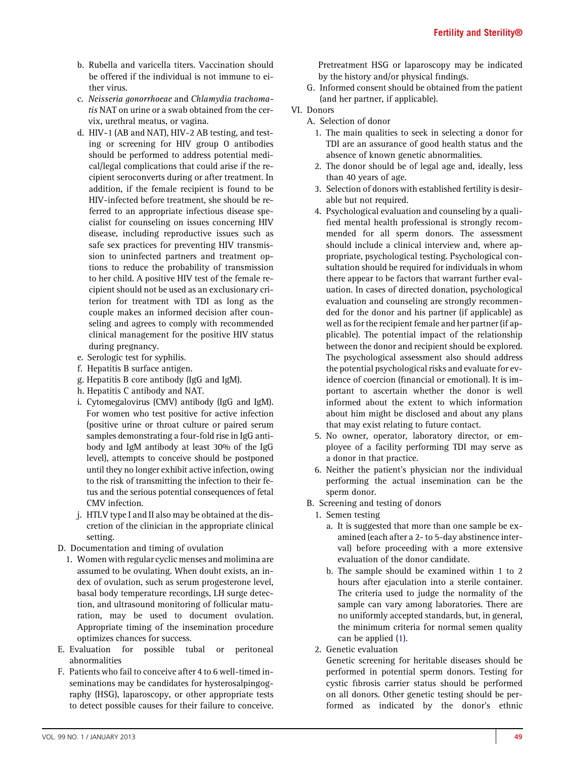- b. Rubella and varicella titers. Vaccination should be offered if the individual is not immune to either virus.
- c. Neisseria gonorrhoeae and Chlamydia trachomatis NAT on urine or a swab obtained from the cervix, urethral meatus, or vagina.
- d. HIV-1 (AB and NAT), HIV-2 AB testing, and testing or screening for HIV group O antibodies should be performed to address potential medical/legal complications that could arise if the recipient seroconverts during or after treatment. In addition, if the female recipient is found to be HIV-infected before treatment, she should be referred to an appropriate infectious disease specialist for counseling on issues concerning HIV disease, including reproductive issues such as safe sex practices for preventing HIV transmission to uninfected partners and treatment options to reduce the probability of transmission to her child. A positive HIV test of the female recipient should not be used as an exclusionary criterion for treatment with TDI as long as the couple makes an informed decision after counseling and agrees to comply with recommended clinical management for the positive HIV status during pregnancy.
- e. Serologic test for syphilis.
- f. Hepatitis B surface antigen.
- g. Hepatitis B core antibody (IgG and IgM).
- h. Hepatitis C antibody and NAT.
- i. Cytomegalovirus (CMV) antibody (IgG and IgM). For women who test positive for active infection (positive urine or throat culture or paired serum samples demonstrating a four-fold rise in IgG antibody and IgM antibody at least 30% of the IgG level), attempts to conceive should be postponed until they no longer exhibit active infection, owing to the risk of transmitting the infection to their fetus and the serious potential consequences of fetal CMV infection.
- j. HTLV type I and II also may be obtained at the discretion of the clinician in the appropriate clinical setting.
- D. Documentation and timing of ovulation
	- 1. Women with regular cyclic menses and molimina are assumed to be ovulating. When doubt exists, an index of ovulation, such as serum progesterone level, basal body temperature recordings, LH surge detection, and ultrasound monitoring of follicular maturation, may be used to document ovulation. Appropriate timing of the insemination procedure optimizes chances for success.
- E. Evaluation for possible tubal or peritoneal abnormalities
- F. Patients who fail to conceive after 4 to 6 well-timed inseminations may be candidates for hysterosalpingography (HSG), laparoscopy, or other appropriate tests to detect possible causes for their failure to conceive.

Pretreatment HSG or laparoscopy may be indicated by the history and/or physical findings.

G. Informed consent should be obtained from the patient (and her partner, if applicable).

### VI. Donors

- A. Selection of donor
	- 1. The main qualities to seek in selecting a donor for TDI are an assurance of good health status and the absence of known genetic abnormalities.
	- 2. The donor should be of legal age and, ideally, less than 40 years of age.
	- 3. Selection of donors with established fertility is desirable but not required.
	- 4. Psychological evaluation and counseling by a qualified mental health professional is strongly recommended for all sperm donors. The assessment should include a clinical interview and, where appropriate, psychological testing. Psychological consultation should be required for individuals in whom there appear to be factors that warrant further evaluation. In cases of directed donation, psychological evaluation and counseling are strongly recommended for the donor and his partner (if applicable) as well as for the recipient female and her partner (if applicable). The potential impact of the relationship between the donor and recipient should be explored. The psychological assessment also should address the potential psychological risks and evaluate for evidence of coercion (financial or emotional). It is important to ascertain whether the donor is well informed about the extent to which information about him might be disclosed and about any plans that may exist relating to future contact.
	- 5. No owner, operator, laboratory director, or employee of a facility performing TDI may serve as a donor in that practice.
	- 6. Neither the patient's physician nor the individual performing the actual insemination can be the sperm donor.
- B. Screening and testing of donors
	- 1. Semen testing
		- a. It is suggested that more than one sample be examined (each after a 2- to 5-day abstinence interval) before proceeding with a more extensive evaluation of the donor candidate.
		- b. The sample should be examined within 1 to 2 hours after ejaculation into a sterile container. The criteria used to judge the normality of the sample can vary among laboratories. There are no uniformly accepted standards, but, in general, the minimum criteria for normal semen quality can be applied [\(1\).](#page-15-0)
	- 2. Genetic evaluation

Genetic screening for heritable diseases should be performed in potential sperm donors. Testing for cystic fibrosis carrier status should be performed on all donors. Other genetic testing should be performed as indicated by the donor's ethnic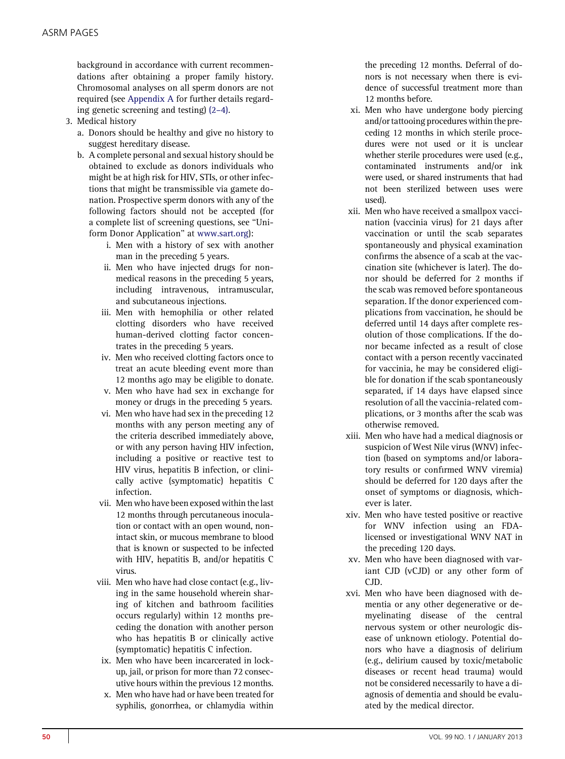background in accordance with current recommendations after obtaining a proper family history. Chromosomal analyses on all sperm donors are not required (see [Appendix A](#page-16-0) for further details regarding genetic screening and testing) (2–[4\).](#page-15-0)

- 3. Medical history
	- a. Donors should be healthy and give no history to suggest hereditary disease.
	- b. A complete personal and sexual history should be obtained to exclude as donors individuals who might be at high risk for HIV, STIs, or other infections that might be transmissible via gamete donation. Prospective sperm donors with any of the following factors should not be accepted (for a complete list of screening questions, see ''Uniform Donor Application'' at [www.sart.org](http://www.sart.org)):
		- i. Men with a history of sex with another man in the preceding 5 years.
		- ii. Men who have injected drugs for nonmedical reasons in the preceding 5 years, including intravenous, intramuscular, and subcutaneous injections.
		- iii. Men with hemophilia or other related clotting disorders who have received human-derived clotting factor concentrates in the preceding 5 years.
		- iv. Men who received clotting factors once to treat an acute bleeding event more than 12 months ago may be eligible to donate.
		- v. Men who have had sex in exchange for money or drugs in the preceding 5 years.
		- vi. Men who have had sex in the preceding 12 months with any person meeting any of the criteria described immediately above, or with any person having HIV infection, including a positive or reactive test to HIV virus, hepatitis B infection, or clinically active (symptomatic) hepatitis C infection.
		- vii. Men who have been exposed within the last 12 months through percutaneous inoculation or contact with an open wound, nonintact skin, or mucous membrane to blood that is known or suspected to be infected with HIV, hepatitis B, and/or hepatitis C virus.
		- viii. Men who have had close contact (e.g., living in the same household wherein sharing of kitchen and bathroom facilities occurs regularly) within 12 months preceding the donation with another person who has hepatitis B or clinically active (symptomatic) hepatitis C infection.
			- ix. Men who have been incarcerated in lockup, jail, or prison for more than 72 consecutive hours within the previous 12 months.
			- x. Men who have had or have been treated for syphilis, gonorrhea, or chlamydia within

the preceding 12 months. Deferral of donors is not necessary when there is evidence of successful treatment more than 12 months before.

- xi. Men who have undergone body piercing and/or tattooing procedures within the preceding 12 months in which sterile procedures were not used or it is unclear whether sterile procedures were used (e.g., contaminated instruments and/or ink were used, or shared instruments that had not been sterilized between uses were used).
- xii. Men who have received a smallpox vaccination (vaccinia virus) for 21 days after vaccination or until the scab separates spontaneously and physical examination confirms the absence of a scab at the vaccination site (whichever is later). The donor should be deferred for 2 months if the scab was removed before spontaneous separation. If the donor experienced complications from vaccination, he should be deferred until 14 days after complete resolution of those complications. If the donor became infected as a result of close contact with a person recently vaccinated for vaccinia, he may be considered eligible for donation if the scab spontaneously separated, if 14 days have elapsed since resolution of all the vaccinia-related complications, or 3 months after the scab was otherwise removed.
- xiii. Men who have had a medical diagnosis or suspicion of West Nile virus (WNV) infection (based on symptoms and/or laboratory results or confirmed WNV viremia) should be deferred for 120 days after the onset of symptoms or diagnosis, whichever is later.
- xiv. Men who have tested positive or reactive for WNV infection using an FDAlicensed or investigational WNV NAT in the preceding 120 days.
- xv. Men who have been diagnosed with variant CJD (vCJD) or any other form of CJD.
- xvi. Men who have been diagnosed with dementia or any other degenerative or demyelinating disease of the central nervous system or other neurologic disease of unknown etiology. Potential donors who have a diagnosis of delirium (e.g., delirium caused by toxic/metabolic diseases or recent head trauma) would not be considered necessarily to have a diagnosis of dementia and should be evaluated by the medical director.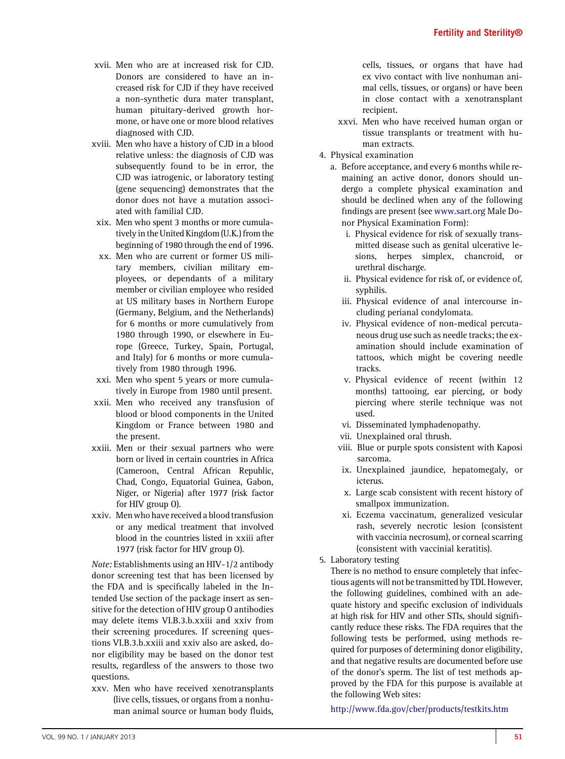- xvii. Men who are at increased risk for CJD. Donors are considered to have an increased risk for CJD if they have received a non-synthetic dura mater transplant, human pituitary-derived growth hormone, or have one or more blood relatives diagnosed with CJD.
- xviii. Men who have a history of CJD in a blood relative unless: the diagnosis of CJD was subsequently found to be in error, the CJD was iatrogenic, or laboratory testing (gene sequencing) demonstrates that the donor does not have a mutation associated with familial CID
- xix. Men who spent 3 months or more cumulatively in the United Kingdom (U.K.) from the beginning of 1980 through the end of 1996.
- xx. Men who are current or former US military members, civilian military employees, or dependants of a military member or civilian employee who resided at US military bases in Northern Europe (Germany, Belgium, and the Netherlands) for 6 months or more cumulatively from 1980 through 1990, or elsewhere in Europe (Greece, Turkey, Spain, Portugal, and Italy) for 6 months or more cumulatively from 1980 through 1996.
- xxi. Men who spent 5 years or more cumulatively in Europe from 1980 until present.
- xxii. Men who received any transfusion of blood or blood components in the United Kingdom or France between 1980 and the present.
- xxiii. Men or their sexual partners who were born or lived in certain countries in Africa (Cameroon, Central African Republic, Chad, Congo, Equatorial Guinea, Gabon, Niger, or Nigeria) after 1977 (risk factor for HIV group O).
- xxiv. Men who have received a blood transfusion or any medical treatment that involved blood in the countries listed in xxiii after 1977 (risk factor for HIV group O).

Note: Establishments using an HIV-1/2 antibody donor screening test that has been licensed by the FDA and is specifically labeled in the Intended Use section of the package insert as sensitive for the detection of HIV group O antibodies may delete items VI.B.3.b.xxiii and xxiv from their screening procedures. If screening questions VI.B.3.b.xxiii and xxiv also are asked, donor eligibility may be based on the donor test results, regardless of the answers to those two questions.

xxv. Men who have received xenotransplants (live cells, tissues, or organs from a nonhuman animal source or human body fluids,

cells, tissues, or organs that have had ex vivo contact with live nonhuman animal cells, tissues, or organs) or have been in close contact with a xenotransplant recipient.

- xxvi. Men who have received human organ or tissue transplants or treatment with human extracts.
- 4. Physical examination
	- a. Before acceptance, and every 6 months while remaining an active donor, donors should undergo a complete physical examination and should be declined when any of the following findings are present (see [www.sart.org](http://www.sart.org) Male Donor Physical Examination Form):
		- i. Physical evidence for risk of sexually transmitted disease such as genital ulcerative lesions, herpes simplex, chancroid, or urethral discharge.
		- ii. Physical evidence for risk of, or evidence of, syphilis.
		- iii. Physical evidence of anal intercourse including perianal condylomata.
		- iv. Physical evidence of non-medical percutaneous drug use such as needle tracks; the examination should include examination of tattoos, which might be covering needle tracks.
		- v. Physical evidence of recent (within 12 months) tattooing, ear piercing, or body piercing where sterile technique was not used.
		- vi. Disseminated lymphadenopathy.
		- vii. Unexplained oral thrush.
		- viii. Blue or purple spots consistent with Kaposi sarcoma.
		- ix. Unexplained jaundice, hepatomegaly, or icterus.
		- x. Large scab consistent with recent history of smallpox immunization.
		- xi. Eczema vaccinatum, generalized vesicular rash, severely necrotic lesion (consistent with vaccinia necrosum), or corneal scarring (consistent with vaccinial keratitis).
- 5. Laboratory testing

There is no method to ensure completely that infectious agents will not be transmitted by TDI. However, the following guidelines, combined with an adequate history and specific exclusion of individuals at high risk for HIV and other STIs, should significantly reduce these risks. The FDA requires that the following tests be performed, using methods required for purposes of determining donor eligibility, and that negative results are documented before use of the donor's sperm. The list of test methods approved by the FDA for this purpose is available at the following Web sites:

<http://www.fda.gov/cber/products/testkits.htm>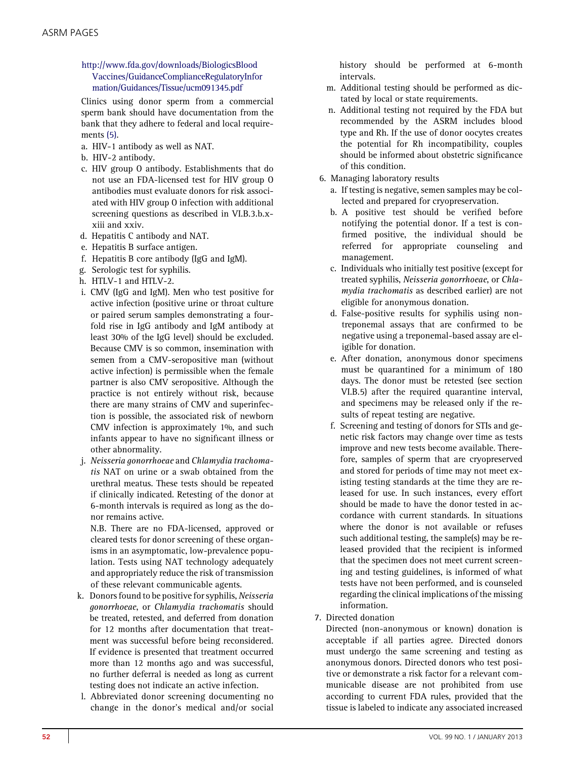#### [http://www.fda.gov/downloads/BiologicsBlood](http://www.fda.gov/downloads/BiologicsBloodVaccines/GuidanceComplianceRegulatoryInformation/Guidances/Tissue/ucm091345.pdf) [Vaccines/GuidanceComplianceRegulatoryInfor](http://www.fda.gov/downloads/BiologicsBloodVaccines/GuidanceComplianceRegulatoryInformation/Guidances/Tissue/ucm091345.pdf) [mation/Guidances/Tissue/ucm091345.pdf](http://www.fda.gov/downloads/BiologicsBloodVaccines/GuidanceComplianceRegulatoryInformation/Guidances/Tissue/ucm091345.pdf)

Clinics using donor sperm from a commercial sperm bank should have documentation from the bank that they adhere to federal and local requirements [\(5\).](#page-15-0)

- a. HIV-1 antibody as well as NAT.
- b. HIV-2 antibody.
- c. HIV group O antibody. Establishments that do not use an FDA-licensed test for HIV group O antibodies must evaluate donors for risk associated with HIV group O infection with additional screening questions as described in VI.B.3.b.xxiii and xxiv.
- d. Hepatitis C antibody and NAT.
- e. Hepatitis B surface antigen.
- f. Hepatitis B core antibody (IgG and IgM).
- g. Serologic test for syphilis.
- h. HTLV-1 and HTLV-2.
- i. CMV (IgG and IgM). Men who test positive for active infection (positive urine or throat culture or paired serum samples demonstrating a fourfold rise in IgG antibody and IgM antibody at least 30% of the IgG level) should be excluded. Because CMV is so common, insemination with semen from a CMV-seropositive man (without active infection) is permissible when the female partner is also CMV seropositive. Although the practice is not entirely without risk, because there are many strains of CMV and superinfection is possible, the associated risk of newborn CMV infection is approximately 1%, and such infants appear to have no significant illness or other abnormality.
- j. Neisseria gonorrhoeae and Chlamydia trachomatis NAT on urine or a swab obtained from the urethral meatus. These tests should be repeated if clinically indicated. Retesting of the donor at 6-month intervals is required as long as the donor remains active.

N.B. There are no FDA-licensed, approved or cleared tests for donor screening of these organisms in an asymptomatic, low-prevalence population. Tests using NAT technology adequately and appropriately reduce the risk of transmission of these relevant communicable agents.

- k. Donors found to be positive for syphilis, Neisseria gonorrhoeae, or Chlamydia trachomatis should be treated, retested, and deferred from donation for 12 months after documentation that treatment was successful before being reconsidered. If evidence is presented that treatment occurred more than 12 months ago and was successful, no further deferral is needed as long as current testing does not indicate an active infection.
- l. Abbreviated donor screening documenting no change in the donor's medical and/or social

history should be performed at 6-month intervals.

- m. Additional testing should be performed as dictated by local or state requirements.
- n. Additional testing not required by the FDA but recommended by the ASRM includes blood type and Rh. If the use of donor oocytes creates the potential for Rh incompatibility, couples should be informed about obstetric significance of this condition.
- 6. Managing laboratory results
	- a. If testing is negative, semen samples may be collected and prepared for cryopreservation.
	- b. A positive test should be verified before notifying the potential donor. If a test is confirmed positive, the individual should be referred for appropriate counseling and management.
	- c. Individuals who initially test positive (except for treated syphilis, Neisseria gonorrhoeae, or Chlamydia trachomatis as described earlier) are not eligible for anonymous donation.
	- d. False-positive results for syphilis using nontreponemal assays that are confirmed to be negative using a treponemal-based assay are eligible for donation.
	- e. After donation, anonymous donor specimens must be quarantined for a minimum of 180 days. The donor must be retested (see section VI.B.5) after the required quarantine interval, and specimens may be released only if the results of repeat testing are negative.
	- f. Screening and testing of donors for STIs and genetic risk factors may change over time as tests improve and new tests become available. Therefore, samples of sperm that are cryopreserved and stored for periods of time may not meet existing testing standards at the time they are released for use. In such instances, every effort should be made to have the donor tested in accordance with current standards. In situations where the donor is not available or refuses such additional testing, the sample(s) may be released provided that the recipient is informed that the specimen does not meet current screening and testing guidelines, is informed of what tests have not been performed, and is counseled regarding the clinical implications of the missing information.
- 7. Directed donation

Directed (non-anonymous or known) donation is acceptable if all parties agree. Directed donors must undergo the same screening and testing as anonymous donors. Directed donors who test positive or demonstrate a risk factor for a relevant communicable disease are not prohibited from use according to current FDA rules, provided that the tissue is labeled to indicate any associated increased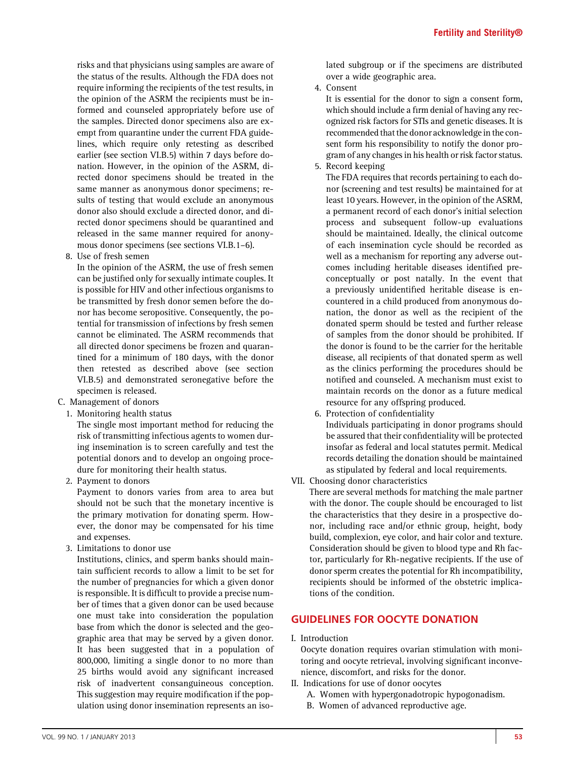risks and that physicians using samples are aware of the status of the results. Although the FDA does not require informing the recipients of the test results, in the opinion of the ASRM the recipients must be informed and counseled appropriately before use of the samples. Directed donor specimens also are exempt from quarantine under the current FDA guidelines, which require only retesting as described earlier (see section VI.B.5) within 7 days before donation. However, in the opinion of the ASRM, directed donor specimens should be treated in the same manner as anonymous donor specimens; results of testing that would exclude an anonymous donor also should exclude a directed donor, and directed donor specimens should be quarantined and released in the same manner required for anonymous donor specimens (see sections VI.B.1–6).

8. Use of fresh semen

In the opinion of the ASRM, the use of fresh semen can be justified only for sexually intimate couples. It is possible for HIV and other infectious organisms to be transmitted by fresh donor semen before the donor has become seropositive. Consequently, the potential for transmission of infections by fresh semen cannot be eliminated. The ASRM recommends that all directed donor specimens be frozen and quarantined for a minimum of 180 days, with the donor then retested as described above (see section VI.B.5) and demonstrated seronegative before the specimen is released.

- C. Management of donors
	- 1. Monitoring health status

The single most important method for reducing the risk of transmitting infectious agents to women during insemination is to screen carefully and test the potential donors and to develop an ongoing procedure for monitoring their health status.

2. Payment to donors

Payment to donors varies from area to area but should not be such that the monetary incentive is the primary motivation for donating sperm. However, the donor may be compensated for his time and expenses.

3. Limitations to donor use

Institutions, clinics, and sperm banks should maintain sufficient records to allow a limit to be set for the number of pregnancies for which a given donor is responsible. It is difficult to provide a precise number of times that a given donor can be used because one must take into consideration the population base from which the donor is selected and the geographic area that may be served by a given donor. It has been suggested that in a population of 800,000, limiting a single donor to no more than 25 births would avoid any significant increased risk of inadvertent consanguineous conception. This suggestion may require modification if the population using donor insemination represents an isolated subgroup or if the specimens are distributed over a wide geographic area.

4. Consent

It is essential for the donor to sign a consent form, which should include a firm denial of having any recognized risk factors for STIs and genetic diseases. It is recommended that the donor acknowledge in the consent form his responsibility to notify the donor program of any changes in his health or risk factor status.

5. Record keeping

The FDA requires that records pertaining to each donor (screening and test results) be maintained for at least 10 years. However, in the opinion of the ASRM, a permanent record of each donor's initial selection process and subsequent follow-up evaluations should be maintained. Ideally, the clinical outcome of each insemination cycle should be recorded as well as a mechanism for reporting any adverse outcomes including heritable diseases identified preconceptually or post natally. In the event that a previously unidentified heritable disease is encountered in a child produced from anonymous donation, the donor as well as the recipient of the donated sperm should be tested and further release of samples from the donor should be prohibited. If the donor is found to be the carrier for the heritable disease, all recipients of that donated sperm as well as the clinics performing the procedures should be notified and counseled. A mechanism must exist to maintain records on the donor as a future medical resource for any offspring produced.

- 6. Protection of confidentiality Individuals participating in donor programs should be assured that their confidentiality will be protected insofar as federal and local statutes permit. Medical records detailing the donation should be maintained as stipulated by federal and local requirements.
- VII. Choosing donor characteristics

There are several methods for matching the male partner with the donor. The couple should be encouraged to list the characteristics that they desire in a prospective donor, including race and/or ethnic group, height, body build, complexion, eye color, and hair color and texture. Consideration should be given to blood type and Rh factor, particularly for Rh-negative recipients. If the use of donor sperm creates the potential for Rh incompatibility, recipients should be informed of the obstetric implications of the condition.

## GUIDELINES FOR OOCYTE DONATION

I. Introduction

Oocyte donation requires ovarian stimulation with monitoring and oocyte retrieval, involving significant inconvenience, discomfort, and risks for the donor.

- II. Indications for use of donor oocytes
	- A. Women with hypergonadotropic hypogonadism.
	- B. Women of advanced reproductive age.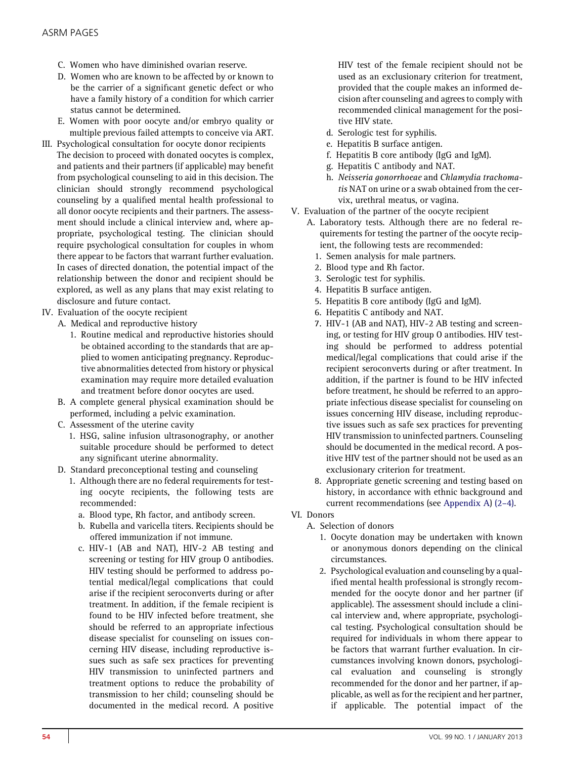- C. Women who have diminished ovarian reserve.
- D. Women who are known to be affected by or known to be the carrier of a significant genetic defect or who have a family history of a condition for which carrier status cannot be determined.
- E. Women with poor oocyte and/or embryo quality or multiple previous failed attempts to conceive via ART.
- III. Psychological consultation for oocyte donor recipients The decision to proceed with donated oocytes is complex, and patients and their partners (if applicable) may benefit from psychological counseling to aid in this decision. The clinician should strongly recommend psychological counseling by a qualified mental health professional to all donor oocyte recipients and their partners. The assessment should include a clinical interview and, where appropriate, psychological testing. The clinician should require psychological consultation for couples in whom there appear to be factors that warrant further evaluation. In cases of directed donation, the potential impact of the relationship between the donor and recipient should be explored, as well as any plans that may exist relating to disclosure and future contact.
- IV. Evaluation of the oocyte recipient
	- A. Medical and reproductive history
		- 1. Routine medical and reproductive histories should be obtained according to the standards that are applied to women anticipating pregnancy. Reproductive abnormalities detected from history or physical examination may require more detailed evaluation and treatment before donor oocytes are used.
	- B. A complete general physical examination should be performed, including a pelvic examination.
	- C. Assessment of the uterine cavity
		- 1. HSG, saline infusion ultrasonography, or another suitable procedure should be performed to detect any significant uterine abnormality.
	- D. Standard preconceptional testing and counseling
		- 1. Although there are no federal requirements for testing oocyte recipients, the following tests are recommended:
			- a. Blood type, Rh factor, and antibody screen.
			- b. Rubella and varicella titers. Recipients should be offered immunization if not immune.
			- c. HIV-1 (AB and NAT), HIV-2 AB testing and screening or testing for HIV group O antibodies. HIV testing should be performed to address potential medical/legal complications that could arise if the recipient seroconverts during or after treatment. In addition, if the female recipient is found to be HIV infected before treatment, she should be referred to an appropriate infectious disease specialist for counseling on issues concerning HIV disease, including reproductive issues such as safe sex practices for preventing HIV transmission to uninfected partners and treatment options to reduce the probability of transmission to her child; counseling should be documented in the medical record. A positive

HIV test of the female recipient should not be used as an exclusionary criterion for treatment, provided that the couple makes an informed decision after counseling and agrees to comply with recommended clinical management for the positive HIV state.

- d. Serologic test for syphilis.
- e. Hepatitis B surface antigen.
- f. Hepatitis B core antibody (IgG and IgM).
- g. Hepatitis C antibody and NAT.
- h. Neisseria gonorrhoeae and Chlamydia trachomatis NAT on urine or a swab obtained from the cervix, urethral meatus, or vagina.
- V. Evaluation of the partner of the oocyte recipient
	- A. Laboratory tests. Although there are no federal requirements for testing the partner of the oocyte recipient, the following tests are recommended:
		- 1. Semen analysis for male partners.
		- 2. Blood type and Rh factor.
		- 3. Serologic test for syphilis.
		- 4. Hepatitis B surface antigen.
		- 5. Hepatitis B core antibody (IgG and IgM).
		- 6. Hepatitis C antibody and NAT.
		- 7. HIV-1 (AB and NAT), HIV-2 AB testing and screening, or testing for HIV group O antibodies. HIV testing should be performed to address potential medical/legal complications that could arise if the recipient seroconverts during or after treatment. In addition, if the partner is found to be HIV infected before treatment, he should be referred to an appropriate infectious disease specialist for counseling on issues concerning HIV disease, including reproductive issues such as safe sex practices for preventing HIV transmission to uninfected partners. Counseling should be documented in the medical record. A positive HIV test of the partner should not be used as an exclusionary criterion for treatment.
		- 8. Appropriate genetic screening and testing based on history, in accordance with ethnic background and current recommendations (see [Appendix A](#page-16-0)) [\(2](#page-15-0)–4).
- VI. Donors
	- A. Selection of donors
		- 1. Oocyte donation may be undertaken with known or anonymous donors depending on the clinical circumstances.
		- 2. Psychological evaluation and counseling by a qualified mental health professional is strongly recommended for the oocyte donor and her partner (if applicable). The assessment should include a clinical interview and, where appropriate, psychological testing. Psychological consultation should be required for individuals in whom there appear to be factors that warrant further evaluation. In circumstances involving known donors, psychological evaluation and counseling is strongly recommended for the donor and her partner, if applicable, as well as for the recipient and her partner, if applicable. The potential impact of the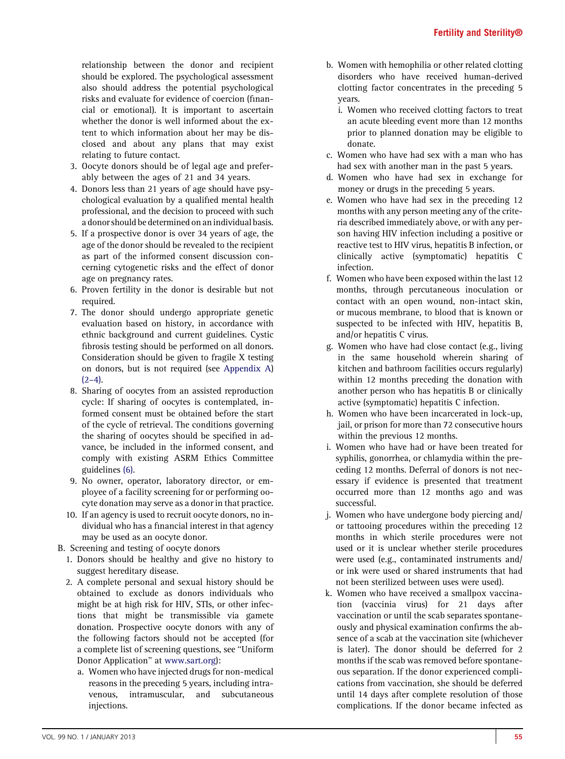relationship between the donor and recipient should be explored. The psychological assessment also should address the potential psychological risks and evaluate for evidence of coercion (financial or emotional). It is important to ascertain whether the donor is well informed about the extent to which information about her may be disclosed and about any plans that may exist relating to future contact.

- 3. Oocyte donors should be of legal age and preferably between the ages of 21 and 34 years.
- 4. Donors less than 21 years of age should have psychological evaluation by a qualified mental health professional, and the decision to proceed with such a donor should be determined on an individual basis.
- 5. If a prospective donor is over 34 years of age, the age of the donor should be revealed to the recipient as part of the informed consent discussion concerning cytogenetic risks and the effect of donor age on pregnancy rates.
- 6. Proven fertility in the donor is desirable but not required.
- 7. The donor should undergo appropriate genetic evaluation based on history, in accordance with ethnic background and current guidelines. Cystic fibrosis testing should be performed on all donors. Consideration should be given to fragile X testing on donors, but is not required (see [Appendix A](#page-16-0))  $(2-4)$  $(2-4)$ .
- 8. Sharing of oocytes from an assisted reproduction cycle: If sharing of oocytes is contemplated, informed consent must be obtained before the start of the cycle of retrieval. The conditions governing the sharing of oocytes should be specified in advance, be included in the informed consent, and comply with existing ASRM Ethics Committee guidelines [\(6\)](#page-15-0).
- 9. No owner, operator, laboratory director, or employee of a facility screening for or performing oocyte donation may serve as a donor in that practice.
- 10. If an agency is used to recruit oocyte donors, no individual who has a financial interest in that agency may be used as an oocyte donor.
- B. Screening and testing of oocyte donors
	- 1. Donors should be healthy and give no history to suggest hereditary disease.
	- 2. A complete personal and sexual history should be obtained to exclude as donors individuals who might be at high risk for HIV, STIs, or other infections that might be transmissible via gamete donation. Prospective oocyte donors with any of the following factors should not be accepted (for a complete list of screening questions, see ''Uniform Donor Application'' at [www.sart.org](http://www.sart.org)):
		- a. Women who have injected drugs for non-medical reasons in the preceding 5 years, including intravenous, intramuscular, and subcutaneous injections.
- b. Women with hemophilia or other related clotting disorders who have received human-derived clotting factor concentrates in the preceding 5 years.
	- i. Women who received clotting factors to treat an acute bleeding event more than 12 months prior to planned donation may be eligible to donate.
- c. Women who have had sex with a man who has had sex with another man in the past 5 years.
- d. Women who have had sex in exchange for money or drugs in the preceding 5 years.
- e. Women who have had sex in the preceding 12 months with any person meeting any of the criteria described immediately above, or with any person having HIV infection including a positive or reactive test to HIV virus, hepatitis B infection, or clinically active (symptomatic) hepatitis C infection.
- f. Women who have been exposed within the last 12 months, through percutaneous inoculation or contact with an open wound, non-intact skin, or mucous membrane, to blood that is known or suspected to be infected with HIV, hepatitis B, and/or hepatitis C virus.
- g. Women who have had close contact (e.g., living in the same household wherein sharing of kitchen and bathroom facilities occurs regularly) within 12 months preceding the donation with another person who has hepatitis B or clinically active (symptomatic) hepatitis C infection.
- h. Women who have been incarcerated in lock-up, jail, or prison for more than 72 consecutive hours within the previous 12 months.
- i. Women who have had or have been treated for syphilis, gonorrhea, or chlamydia within the preceding 12 months. Deferral of donors is not necessary if evidence is presented that treatment occurred more than 12 months ago and was successful.
- j. Women who have undergone body piercing and/ or tattooing procedures within the preceding 12 months in which sterile procedures were not used or it is unclear whether sterile procedures were used (e.g., contaminated instruments and/ or ink were used or shared instruments that had not been sterilized between uses were used).
- k. Women who have received a smallpox vaccination (vaccinia virus) for 21 days after vaccination or until the scab separates spontaneously and physical examination confirms the absence of a scab at the vaccination site (whichever is later). The donor should be deferred for 2 months if the scab was removed before spontaneous separation. If the donor experienced complications from vaccination, she should be deferred until 14 days after complete resolution of those complications. If the donor became infected as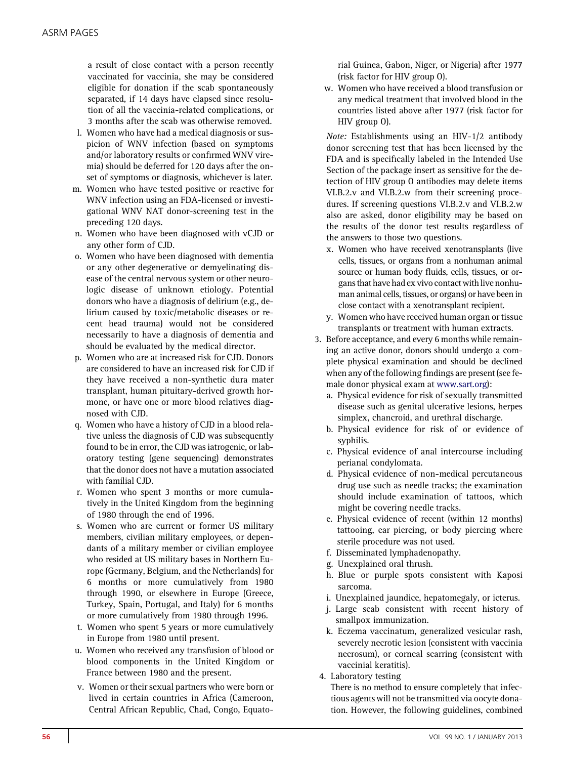a result of close contact with a person recently vaccinated for vaccinia, she may be considered eligible for donation if the scab spontaneously separated, if 14 days have elapsed since resolution of all the vaccinia-related complications, or 3 months after the scab was otherwise removed.

- l. Women who have had a medical diagnosis or suspicion of WNV infection (based on symptoms and/or laboratory results or confirmed WNV viremia) should be deferred for 120 days after the onset of symptoms or diagnosis, whichever is later.
- m. Women who have tested positive or reactive for WNV infection using an FDA-licensed or investigational WNV NAT donor-screening test in the preceding 120 days.
- n. Women who have been diagnosed with vCJD or any other form of CJD.
- o. Women who have been diagnosed with dementia or any other degenerative or demyelinating disease of the central nervous system or other neurologic disease of unknown etiology. Potential donors who have a diagnosis of delirium (e.g., delirium caused by toxic/metabolic diseases or recent head trauma) would not be considered necessarily to have a diagnosis of dementia and should be evaluated by the medical director.
- p. Women who are at increased risk for CJD. Donors are considered to have an increased risk for CJD if they have received a non-synthetic dura mater transplant, human pituitary-derived growth hormone, or have one or more blood relatives diagnosed with CJD.
- q. Women who have a history of CJD in a blood relative unless the diagnosis of CJD was subsequently found to be in error, the CJD was iatrogenic, or laboratory testing (gene sequencing) demonstrates that the donor does not have a mutation associated with familial CJD.
- r. Women who spent 3 months or more cumulatively in the United Kingdom from the beginning of 1980 through the end of 1996.
- s. Women who are current or former US military members, civilian military employees, or dependants of a military member or civilian employee who resided at US military bases in Northern Europe (Germany, Belgium, and the Netherlands) for 6 months or more cumulatively from 1980 through 1990, or elsewhere in Europe (Greece, Turkey, Spain, Portugal, and Italy) for 6 months or more cumulatively from 1980 through 1996.
- t. Women who spent 5 years or more cumulatively in Europe from 1980 until present.
- u. Women who received any transfusion of blood or blood components in the United Kingdom or France between 1980 and the present.
- v. Women or their sexual partners who were born or lived in certain countries in Africa (Cameroon, Central African Republic, Chad, Congo, Equato-

rial Guinea, Gabon, Niger, or Nigeria) after 1977 (risk factor for HIV group O).

w. Women who have received a blood transfusion or any medical treatment that involved blood in the countries listed above after 1977 (risk factor for HIV group O).

Note: Establishments using an HIV-1/2 antibody donor screening test that has been licensed by the FDA and is specifically labeled in the Intended Use Section of the package insert as sensitive for the detection of HIV group O antibodies may delete items VI.B.2.v and VI.B.2.w from their screening procedures. If screening questions VI.B.2.v and VI.B.2.w also are asked, donor eligibility may be based on the results of the donor test results regardless of the answers to those two questions.

- x. Women who have received xenotransplants (live cells, tissues, or organs from a nonhuman animal source or human body fluids, cells, tissues, or organs that have had ex vivo contact withlive nonhuman animal cells, tissues, or organs) or have been in close contact with a xenotransplant recipient.
- y. Women who have received human organ or tissue transplants or treatment with human extracts.
- 3. Before acceptance, and every 6 months while remaining an active donor, donors should undergo a complete physical examination and should be declined when any of the following findings are present (see female donor physical exam at [www.sart.org\)](http://www.sart.org):
	- a. Physical evidence for risk of sexually transmitted disease such as genital ulcerative lesions, herpes simplex, chancroid, and urethral discharge.
	- b. Physical evidence for risk of or evidence of syphilis.
	- c. Physical evidence of anal intercourse including perianal condylomata.
	- d. Physical evidence of non-medical percutaneous drug use such as needle tracks; the examination should include examination of tattoos, which might be covering needle tracks.
	- e. Physical evidence of recent (within 12 months) tattooing, ear piercing, or body piercing where sterile procedure was not used.
	- f. Disseminated lymphadenopathy.
	- g. Unexplained oral thrush.
	- h. Blue or purple spots consistent with Kaposi sarcoma.
	- i. Unexplained jaundice, hepatomegaly, or icterus.
	- j. Large scab consistent with recent history of smallpox immunization.
	- k. Eczema vaccinatum, generalized vesicular rash, severely necrotic lesion (consistent with vaccinia necrosum), or corneal scarring (consistent with vaccinial keratitis).
- 4. Laboratory testing

There is no method to ensure completely that infectious agents will not be transmitted via oocyte donation. However, the following guidelines, combined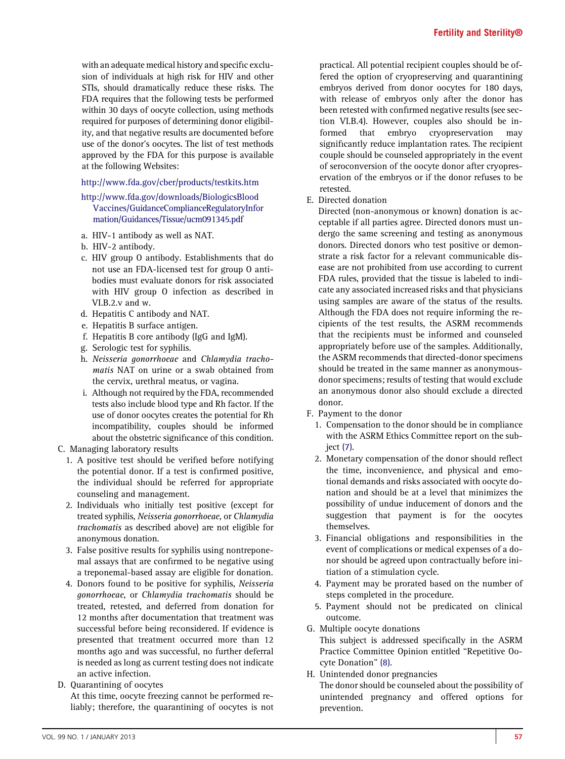with an adequate medical history and specific exclusion of individuals at high risk for HIV and other STIs, should dramatically reduce these risks. The FDA requires that the following tests be performed within 30 days of oocyte collection, using methods required for purposes of determining donor eligibility, and that negative results are documented before use of the donor's oocytes. The list of test methods approved by the FDA for this purpose is available at the following Websites:

## <http://www.fda.gov/cber/products/testkits.htm>

#### [http://www.fda.gov/downloads/BiologicsBlood](http://www.fda.gov/downloads/BiologicsBloodVaccines/GuidanceComplianceRegulatoryInformation/Guidances/Tissue/ucm091345.pdf) [Vaccines/GuidanceComplianceRegulatoryInfor](http://www.fda.gov/downloads/BiologicsBloodVaccines/GuidanceComplianceRegulatoryInformation/Guidances/Tissue/ucm091345.pdf) [mation/Guidances/Tissue/ucm091345.pdf](http://www.fda.gov/downloads/BiologicsBloodVaccines/GuidanceComplianceRegulatoryInformation/Guidances/Tissue/ucm091345.pdf)

- a. HIV-1 antibody as well as NAT.
- b. HIV-2 antibody.
- c. HIV group O antibody. Establishments that do not use an FDA-licensed test for group O antibodies must evaluate donors for risk associated with HIV group O infection as described in VI.B.2.v and w.
- d. Hepatitis C antibody and NAT.
- e. Hepatitis B surface antigen.
- f. Hepatitis B core antibody (IgG and IgM).
- g. Serologic test for syphilis.
- h. Neisseria gonorrhoeae and Chlamydia trachomatis NAT on urine or a swab obtained from the cervix, urethral meatus, or vagina.
- i. Although not required by the FDA, recommended tests also include blood type and Rh factor. If the use of donor oocytes creates the potential for Rh incompatibility, couples should be informed about the obstetric significance of this condition.
- C. Managing laboratory results
	- 1. A positive test should be verified before notifying the potential donor. If a test is confirmed positive, the individual should be referred for appropriate counseling and management.
	- 2. Individuals who initially test positive (except for treated syphilis, Neisseria gonorrhoeae, or Chlamydia trachomatis as described above) are not eligible for anonymous donation.
	- 3. False positive results for syphilis using nontreponemal assays that are confirmed to be negative using a treponemal-based assay are eligible for donation.
	- 4. Donors found to be positive for syphilis, Neisseria gonorrhoeae, or Chlamydia trachomatis should be treated, retested, and deferred from donation for 12 months after documentation that treatment was successful before being reconsidered. If evidence is presented that treatment occurred more than 12 months ago and was successful, no further deferral is needed as long as current testing does not indicate an active infection.
- D. Quarantining of oocytes

At this time, oocyte freezing cannot be performed reliably; therefore, the quarantining of oocytes is not practical. All potential recipient couples should be offered the option of cryopreserving and quarantining embryos derived from donor oocytes for 180 days, with release of embryos only after the donor has been retested with confirmed negative results (see section VI.B.4). However, couples also should be informed that embryo cryopreservation may significantly reduce implantation rates. The recipient couple should be counseled appropriately in the event of seroconversion of the oocyte donor after cryopreservation of the embryos or if the donor refuses to be retested.

## E. Directed donation

Directed (non-anonymous or known) donation is acceptable if all parties agree. Directed donors must undergo the same screening and testing as anonymous donors. Directed donors who test positive or demonstrate a risk factor for a relevant communicable disease are not prohibited from use according to current FDA rules, provided that the tissue is labeled to indicate any associated increased risks and that physicians using samples are aware of the status of the results. Although the FDA does not require informing the recipients of the test results, the ASRM recommends that the recipients must be informed and counseled appropriately before use of the samples. Additionally, the ASRM recommends that directed-donor specimens should be treated in the same manner as anonymousdonor specimens; results of testing that would exclude an anonymous donor also should exclude a directed donor.

- F. Payment to the donor
	- 1. Compensation to the donor should be in compliance with the ASRM Ethics Committee report on the subject [\(7\)](#page-15-0).
	- 2. Monetary compensation of the donor should reflect the time, inconvenience, and physical and emotional demands and risks associated with oocyte donation and should be at a level that minimizes the possibility of undue inducement of donors and the suggestion that payment is for the oocytes themselves.
	- 3. Financial obligations and responsibilities in the event of complications or medical expenses of a donor should be agreed upon contractually before initiation of a stimulation cycle.
	- 4. Payment may be prorated based on the number of steps completed in the procedure.
	- 5. Payment should not be predicated on clinical outcome.
- G. Multiple oocyte donations

This subject is addressed specifically in the ASRM Practice Committee Opinion entitled ''Repetitive Oocyte Donation'' [\(8\).](#page-15-0)

H. Unintended donor pregnancies

The donor should be counseled about the possibility of unintended pregnancy and offered options for prevention.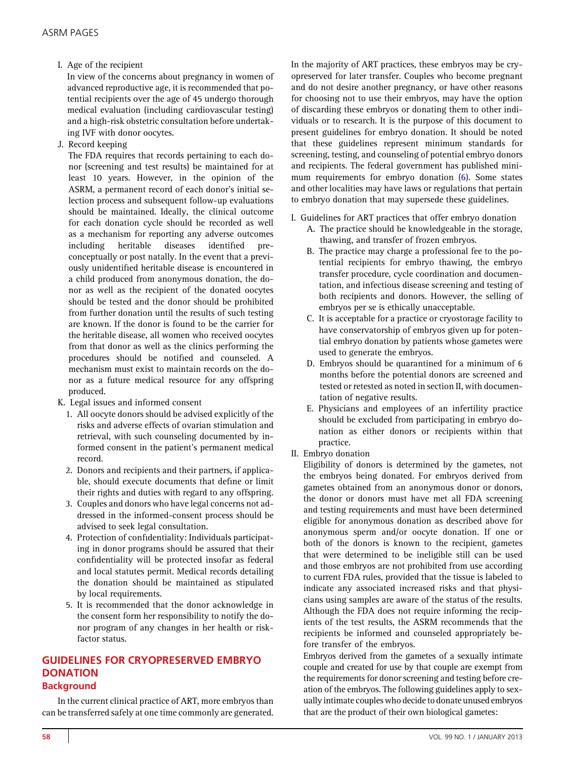I. Age of the recipient

In view of the concerns about pregnancy in women of advanced reproductive age, it is recommended that potential recipients over the age of 45 undergo thorough medical evaluation (including cardiovascular testing) and a high-risk obstetric consultation before undertaking IVF with donor oocytes.

J. Record keeping

The FDA requires that records pertaining to each donor (screening and test results) be maintained for at least 10 years. However, in the opinion of the ASRM, a permanent record of each donor's initial selection process and subsequent follow-up evaluations should be maintained. Ideally, the clinical outcome for each donation cycle should be recorded as well as a mechanism for reporting any adverse outcomes including heritable diseases identified preconceptually or post natally. In the event that a previously unidentified heritable disease is encountered in a child produced from anonymous donation, the donor as well as the recipient of the donated oocytes should be tested and the donor should be prohibited from further donation until the results of such testing are known. If the donor is found to be the carrier for the heritable disease, all women who received oocytes from that donor as well as the clinics performing the procedures should be notified and counseled. A mechanism must exist to maintain records on the donor as a future medical resource for any offspring produced.

- K. Legal issues and informed consent
	- 1. All oocyte donors should be advised explicitly of the risks and adverse effects of ovarian stimulation and retrieval, with such counseling documented by informed consent in the patient's permanent medical record.
	- 2. Donors and recipients and their partners, if applicable, should execute documents that define or limit their rights and duties with regard to any offspring.
	- 3. Couples and donors who have legal concerns not addressed in the informed-consent process should be advised to seek legal consultation.
	- 4. Protection of confidentiality: Individuals participating in donor programs should be assured that their confidentiality will be protected insofar as federal and local statutes permit. Medical records detailing the donation should be maintained as stipulated by local requirements.
	- 5. It is recommended that the donor acknowledge in the consent form her responsibility to notify the donor program of any changes in her health or riskfactor status.

### GUIDELINES FOR CRYOPRESERVED EMBRYO **DONATION Background**

In the current clinical practice of ART, more embryos than can be transferred safely at one time commonly are generated. In the majority of ART practices, these embryos may be cryopreserved for later transfer. Couples who become pregnant and do not desire another pregnancy, or have other reasons for choosing not to use their embryos, may have the option of discarding these embryos or donating them to other individuals or to research. It is the purpose of this document to present guidelines for embryo donation. It should be noted that these guidelines represent minimum standards for screening, testing, and counseling of potential embryo donors and recipients. The federal government has published minimum requirements for embryo donation [\(6\).](#page-15-0) Some states and other localities may have laws or regulations that pertain to embryo donation that may supersede these guidelines.

- I. Guidelines for ART practices that offer embryo donation
	- A. The practice should be knowledgeable in the storage, thawing, and transfer of frozen embryos.
	- B. The practice may charge a professional fee to the potential recipients for embryo thawing, the embryo transfer procedure, cycle coordination and documentation, and infectious disease screening and testing of both recipients and donors. However, the selling of embryos per se is ethically unacceptable.
	- C. It is acceptable for a practice or cryostorage facility to have conservatorship of embryos given up for potential embryo donation by patients whose gametes were used to generate the embryos.
	- D. Embryos should be quarantined for a minimum of 6 months before the potential donors are screened and tested or retested as noted in section II, with documentation of negative results.
	- E. Physicians and employees of an infertility practice should be excluded from participating in embryo donation as either donors or recipients within that practice.
- II. Embryo donation

Eligibility of donors is determined by the gametes, not the embryos being donated. For embryos derived from gametes obtained from an anonymous donor or donors, the donor or donors must have met all FDA screening and testing requirements and must have been determined eligible for anonymous donation as described above for anonymous sperm and/or oocyte donation. If one or both of the donors is known to the recipient, gametes that were determined to be ineligible still can be used and those embryos are not prohibited from use according to current FDA rules, provided that the tissue is labeled to indicate any associated increased risks and that physicians using samples are aware of the status of the results. Although the FDA does not require informing the recipients of the test results, the ASRM recommends that the recipients be informed and counseled appropriately before transfer of the embryos.

Embryos derived from the gametes of a sexually intimate couple and created for use by that couple are exempt from the requirements for donor screening and testing before creation of the embryos. The following guidelines apply to sexually intimate couples who decide to donate unused embryos that are the product of their own biological gametes: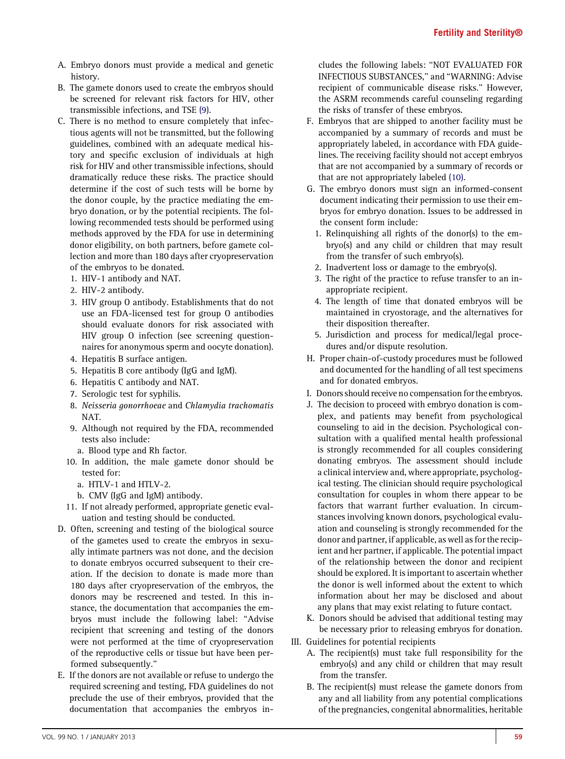- A. Embryo donors must provide a medical and genetic history.
- B. The gamete donors used to create the embryos should be screened for relevant risk factors for HIV, other transmissible infections, and TSE [\(9\)](#page-15-0).
- C. There is no method to ensure completely that infectious agents will not be transmitted, but the following guidelines, combined with an adequate medical history and specific exclusion of individuals at high risk for HIV and other transmissible infections, should dramatically reduce these risks. The practice should determine if the cost of such tests will be borne by the donor couple, by the practice mediating the embryo donation, or by the potential recipients. The following recommended tests should be performed using methods approved by the FDA for use in determining donor eligibility, on both partners, before gamete collection and more than 180 days after cryopreservation of the embryos to be donated.
	- 1. HIV-1 antibody and NAT.
	- 2. HIV-2 antibody.
	- 3. HIV group O antibody. Establishments that do not use an FDA-licensed test for group O antibodies should evaluate donors for risk associated with HIV group O infection (see screening questionnaires for anonymous sperm and oocyte donation).
	- 4. Hepatitis B surface antigen.
	- 5. Hepatitis B core antibody (IgG and IgM).
	- 6. Hepatitis C antibody and NAT.
	- 7. Serologic test for syphilis.
	- 8. Neisseria gonorrhoeae and Chlamydia trachomatis NAT.
	- 9. Although not required by the FDA, recommended tests also include:
		- a. Blood type and Rh factor.
	- 10. In addition, the male gamete donor should be tested for:
		- a. HTLV-1 and HTLV-2.
		- b. CMV (IgG and IgM) antibody.
	- 11. If not already performed, appropriate genetic evaluation and testing should be conducted.
- D. Often, screening and testing of the biological source of the gametes used to create the embryos in sexually intimate partners was not done, and the decision to donate embryos occurred subsequent to their creation. If the decision to donate is made more than 180 days after cryopreservation of the embryos, the donors may be rescreened and tested. In this instance, the documentation that accompanies the embryos must include the following label: ''Advise recipient that screening and testing of the donors were not performed at the time of cryopreservation of the reproductive cells or tissue but have been performed subsequently.''
- E. If the donors are not available or refuse to undergo the required screening and testing, FDA guidelines do not preclude the use of their embryos, provided that the documentation that accompanies the embryos in-

cludes the following labels: ''NOT EVALUATED FOR INFECTIOUS SUBSTANCES,'' and ''WARNING: Advise recipient of communicable disease risks.'' However, the ASRM recommends careful counseling regarding the risks of transfer of these embryos.

- F. Embryos that are shipped to another facility must be accompanied by a summary of records and must be appropriately labeled, in accordance with FDA guidelines. The receiving facility should not accept embryos that are not accompanied by a summary of records or that are not appropriately labeled [\(10\).](#page-15-0)
- G. The embryo donors must sign an informed-consent document indicating their permission to use their embryos for embryo donation. Issues to be addressed in the consent form include:
	- 1. Relinquishing all rights of the donor(s) to the embryo(s) and any child or children that may result from the transfer of such embryo(s).
	- 2. Inadvertent loss or damage to the embryo(s).
	- 3. The right of the practice to refuse transfer to an inappropriate recipient.
	- 4. The length of time that donated embryos will be maintained in cryostorage, and the alternatives for their disposition thereafter.
	- 5. Jurisdiction and process for medical/legal procedures and/or dispute resolution.
- H. Proper chain-of-custody procedures must be followed and documented for the handling of all test specimens and for donated embryos.
- I. Donors should receive no compensation for the embryos.
- J. The decision to proceed with embryo donation is complex, and patients may benefit from psychological counseling to aid in the decision. Psychological consultation with a qualified mental health professional is strongly recommended for all couples considering donating embryos. The assessment should include a clinical interview and, where appropriate, psychological testing. The clinician should require psychological consultation for couples in whom there appear to be factors that warrant further evaluation. In circumstances involving known donors, psychological evaluation and counseling is strongly recommended for the donor and partner, if applicable, as well as for the recipient and her partner, if applicable. The potential impact of the relationship between the donor and recipient should be explored. It is important to ascertain whether the donor is well informed about the extent to which information about her may be disclosed and about any plans that may exist relating to future contact.
- K. Donors should be advised that additional testing may be necessary prior to releasing embryos for donation.
- III. Guidelines for potential recipients
	- A. The recipient(s) must take full responsibility for the embryo(s) and any child or children that may result from the transfer.
	- B. The recipient(s) must release the gamete donors from any and all liability from any potential complications of the pregnancies, congenital abnormalities, heritable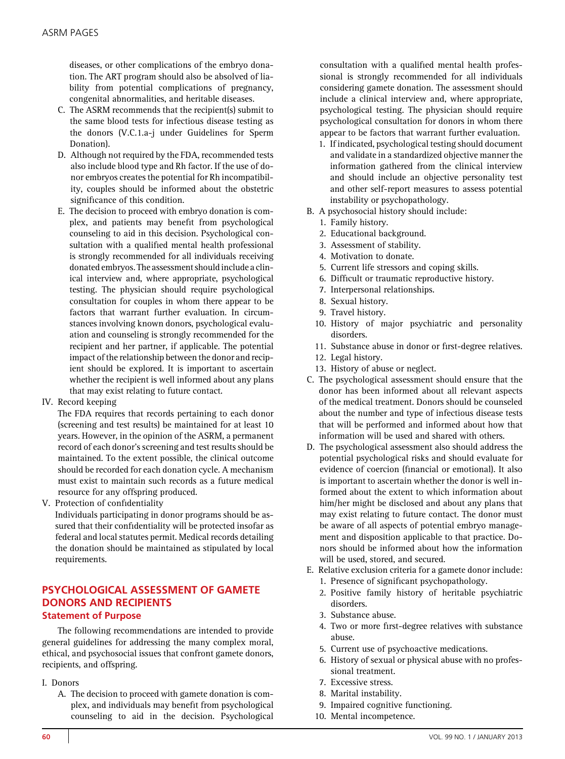diseases, or other complications of the embryo donation. The ART program should also be absolved of liability from potential complications of pregnancy, congenital abnormalities, and heritable diseases.

- C. The ASRM recommends that the recipient(s) submit to the same blood tests for infectious disease testing as the donors (V.C.1.a-j under Guidelines for Sperm Donation).
- D. Although not required by the FDA, recommended tests also include blood type and Rh factor. If the use of donor embryos creates the potential for Rh incompatibility, couples should be informed about the obstetric significance of this condition.
- E. The decision to proceed with embryo donation is complex, and patients may benefit from psychological counseling to aid in this decision. Psychological consultation with a qualified mental health professional is strongly recommended for all individuals receiving donated embryos. The assessment should include a clinical interview and, where appropriate, psychological testing. The physician should require psychological consultation for couples in whom there appear to be factors that warrant further evaluation. In circumstances involving known donors, psychological evaluation and counseling is strongly recommended for the recipient and her partner, if applicable. The potential impact of the relationship between the donor and recipient should be explored. It is important to ascertain whether the recipient is well informed about any plans that may exist relating to future contact.
- IV. Record keeping

The FDA requires that records pertaining to each donor (screening and test results) be maintained for at least 10 years. However, in the opinion of the ASRM, a permanent record of each donor's screening and test results should be maintained. To the extent possible, the clinical outcome should be recorded for each donation cycle. A mechanism must exist to maintain such records as a future medical resource for any offspring produced.

V. Protection of confidentiality

Individuals participating in donor programs should be assured that their confidentiality will be protected insofar as federal and local statutes permit. Medical records detailing the donation should be maintained as stipulated by local requirements.

#### PSYCHOLOGICAL ASSESSMENT OF GAMETE DONORS AND RECIPIENTS Statement of Purpose

The following recommendations are intended to provide general guidelines for addressing the many complex moral, ethical, and psychosocial issues that confront gamete donors, recipients, and offspring.

- I. Donors
	- A. The decision to proceed with gamete donation is complex, and individuals may benefit from psychological counseling to aid in the decision. Psychological

consultation with a qualified mental health professional is strongly recommended for all individuals considering gamete donation. The assessment should include a clinical interview and, where appropriate, psychological testing. The physician should require psychological consultation for donors in whom there appear to be factors that warrant further evaluation.

- 1. If indicated, psychological testing should document and validate in a standardized objective manner the information gathered from the clinical interview and should include an objective personality test and other self-report measures to assess potential instability or psychopathology.
- B. A psychosocial history should include:
	- 1. Family history.
	- 2. Educational background.
	- 3. Assessment of stability.
	- 4. Motivation to donate.
	- 5. Current life stressors and coping skills.
	- 6. Difficult or traumatic reproductive history.
	- 7. Interpersonal relationships.
	- 8. Sexual history.
	- 9. Travel history.
	- 10. History of major psychiatric and personality disorders.
	- 11. Substance abuse in donor or first-degree relatives.
	- 12. Legal history.
	- 13. History of abuse or neglect.
- C. The psychological assessment should ensure that the donor has been informed about all relevant aspects of the medical treatment. Donors should be counseled about the number and type of infectious disease tests that will be performed and informed about how that information will be used and shared with others.
- D. The psychological assessment also should address the potential psychological risks and should evaluate for evidence of coercion (financial or emotional). It also is important to ascertain whether the donor is well informed about the extent to which information about him/her might be disclosed and about any plans that may exist relating to future contact. The donor must be aware of all aspects of potential embryo management and disposition applicable to that practice. Donors should be informed about how the information will be used, stored, and secured.
- E. Relative exclusion criteria for a gamete donor include:
	- 1. Presence of significant psychopathology.
	- 2. Positive family history of heritable psychiatric disorders.
	- 3. Substance abuse.
	- 4. Two or more first-degree relatives with substance abuse.
	- 5. Current use of psychoactive medications.
	- 6. History of sexual or physical abuse with no professional treatment.
	- 7. Excessive stress.
	- 8. Marital instability.
	- 9. Impaired cognitive functioning.
	- 10. Mental incompetence.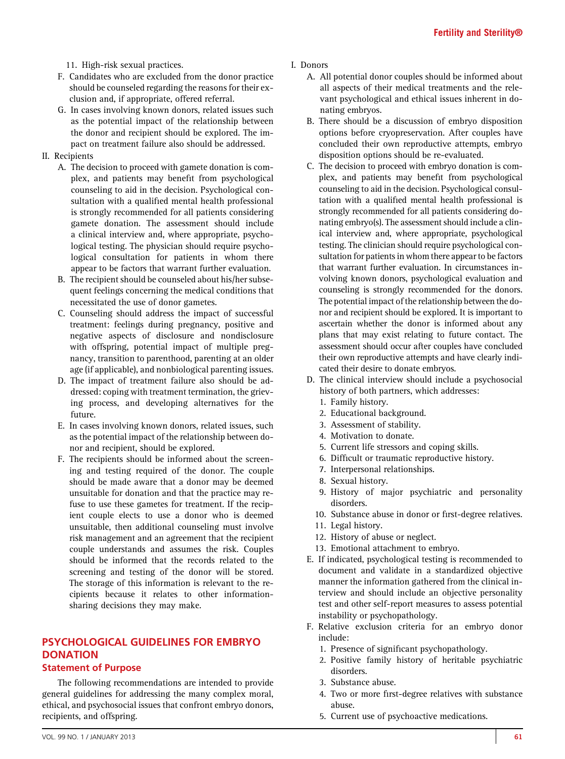11. High-risk sexual practices.

- F. Candidates who are excluded from the donor practice should be counseled regarding the reasons for their exclusion and, if appropriate, offered referral.
- G. In cases involving known donors, related issues such as the potential impact of the relationship between the donor and recipient should be explored. The impact on treatment failure also should be addressed.

#### II. Recipients

- A. The decision to proceed with gamete donation is complex, and patients may benefit from psychological counseling to aid in the decision. Psychological consultation with a qualified mental health professional is strongly recommended for all patients considering gamete donation. The assessment should include a clinical interview and, where appropriate, psychological testing. The physician should require psychological consultation for patients in whom there appear to be factors that warrant further evaluation.
- B. The recipient should be counseled about his/her subsequent feelings concerning the medical conditions that necessitated the use of donor gametes.
- C. Counseling should address the impact of successful treatment: feelings during pregnancy, positive and negative aspects of disclosure and nondisclosure with offspring, potential impact of multiple pregnancy, transition to parenthood, parenting at an older age (if applicable), and nonbiological parenting issues.
- D. The impact of treatment failure also should be addressed: coping with treatment termination, the grieving process, and developing alternatives for the future.
- E. In cases involving known donors, related issues, such as the potential impact of the relationship between donor and recipient, should be explored.
- F. The recipients should be informed about the screening and testing required of the donor. The couple should be made aware that a donor may be deemed unsuitable for donation and that the practice may refuse to use these gametes for treatment. If the recipient couple elects to use a donor who is deemed unsuitable, then additional counseling must involve risk management and an agreement that the recipient couple understands and assumes the risk. Couples should be informed that the records related to the screening and testing of the donor will be stored. The storage of this information is relevant to the recipients because it relates to other informationsharing decisions they may make.

# PSYCHOLOGICAL GUIDELINES FOR EMBRYO **DONATION**

#### Statement of Purpose

The following recommendations are intended to provide general guidelines for addressing the many complex moral, ethical, and psychosocial issues that confront embryo donors, recipients, and offspring.

I. Donors

- A. All potential donor couples should be informed about all aspects of their medical treatments and the relevant psychological and ethical issues inherent in donating embryos.
- B. There should be a discussion of embryo disposition options before cryopreservation. After couples have concluded their own reproductive attempts, embryo disposition options should be re-evaluated.
- C. The decision to proceed with embryo donation is complex, and patients may benefit from psychological counseling to aid in the decision. Psychological consultation with a qualified mental health professional is strongly recommended for all patients considering donating embryo(s). The assessment should include a clinical interview and, where appropriate, psychological testing. The clinician should require psychological consultation for patients in whom there appear to be factors that warrant further evaluation. In circumstances involving known donors, psychological evaluation and counseling is strongly recommended for the donors. The potential impact of the relationship between the donor and recipient should be explored. It is important to ascertain whether the donor is informed about any plans that may exist relating to future contact. The assessment should occur after couples have concluded their own reproductive attempts and have clearly indicated their desire to donate embryos.
- D. The clinical interview should include a psychosocial history of both partners, which addresses:
	- 1. Family history.
	- 2. Educational background.
	- 3. Assessment of stability.
	- 4. Motivation to donate.
	- 5. Current life stressors and coping skills.
	- 6. Difficult or traumatic reproductive history.
	- 7. Interpersonal relationships.
	- 8. Sexual history.
	- 9. History of major psychiatric and personality disorders.
	- 10. Substance abuse in donor or first-degree relatives.
	- 11. Legal history.
	- 12. History of abuse or neglect.
	- 13. Emotional attachment to embryo.
- E. If indicated, psychological testing is recommended to document and validate in a standardized objective manner the information gathered from the clinical interview and should include an objective personality test and other self-report measures to assess potential instability or psychopathology.
- F. Relative exclusion criteria for an embryo donor include:
	- 1. Presence of significant psychopathology.
	- 2. Positive family history of heritable psychiatric disorders.
	- 3. Substance abuse.
	- 4. Two or more first-degree relatives with substance abuse.
	- 5. Current use of psychoactive medications.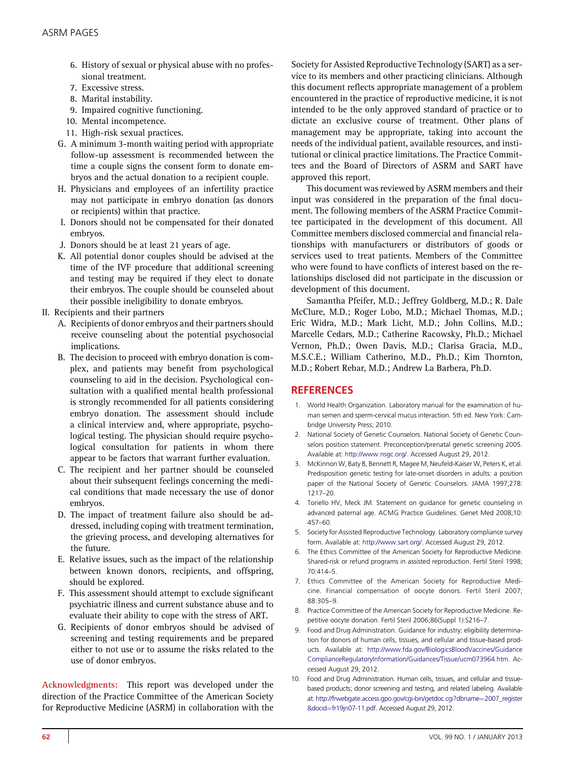- <span id="page-15-0"></span>6. History of sexual or physical abuse with no professional treatment.
- 7. Excessive stress.
- 8. Marital instability.
- 9. Impaired cognitive functioning.
- 10. Mental incompetence.
- 11. High-risk sexual practices.
- G. A minimum 3-month waiting period with appropriate follow-up assessment is recommended between the time a couple signs the consent form to donate embryos and the actual donation to a recipient couple.
- H. Physicians and employees of an infertility practice may not participate in embryo donation (as donors or recipients) within that practice.
- I. Donors should not be compensated for their donated embryos.
- J. Donors should be at least 21 years of age.
- K. All potential donor couples should be advised at the time of the IVF procedure that additional screening and testing may be required if they elect to donate their embryos. The couple should be counseled about their possible ineligibility to donate embryos.
- II. Recipients and their partners
	- A. Recipients of donor embryos and their partners should receive counseling about the potential psychosocial implications.
	- B. The decision to proceed with embryo donation is complex, and patients may benefit from psychological counseling to aid in the decision. Psychological consultation with a qualified mental health professional is strongly recommended for all patients considering embryo donation. The assessment should include a clinical interview and, where appropriate, psychological testing. The physician should require psychological consultation for patients in whom there appear to be factors that warrant further evaluation.
	- C. The recipient and her partner should be counseled about their subsequent feelings concerning the medical conditions that made necessary the use of donor embryos.
	- D. The impact of treatment failure also should be addressed, including coping with treatment termination, the grieving process, and developing alternatives for the future.
	- E. Relative issues, such as the impact of the relationship between known donors, recipients, and offspring, should be explored.
	- F. This assessment should attempt to exclude significant psychiatric illness and current substance abuse and to evaluate their ability to cope with the stress of ART.
	- G. Recipients of donor embryos should be advised of screening and testing requirements and be prepared either to not use or to assume the risks related to the use of donor embryos.

Acknowledgments: This report was developed under the direction of the Practice Committee of the American Society for Reproductive Medicine (ASRM) in collaboration with the

Society for Assisted Reproductive Technology (SART) as a service to its members and other practicing clinicians. Although this document reflects appropriate management of a problem encountered in the practice of reproductive medicine, it is not intended to be the only approved standard of practice or to dictate an exclusive course of treatment. Other plans of management may be appropriate, taking into account the needs of the individual patient, available resources, and institutional or clinical practice limitations. The Practice Committees and the Board of Directors of ASRM and SART have approved this report.

This document was reviewed by ASRM members and their input was considered in the preparation of the final document. The following members of the ASRM Practice Committee participated in the development of this document. All Committee members disclosed commercial and financial relationships with manufacturers or distributors of goods or services used to treat patients. Members of the Committee who were found to have conflicts of interest based on the relationships disclosed did not participate in the discussion or development of this document.

Samantha Pfeifer, M.D.; Jeffrey Goldberg, M.D.; R. Dale McClure, M.D.; Roger Lobo, M.D.; Michael Thomas, M.D.; Eric Widra, M.D.; Mark Licht, M.D.; John Collins, M.D.; Marcelle Cedars, M.D.; Catherine Racowsky, Ph.D.; Michael Vernon, Ph.D.; Owen Davis, M.D.; Clarisa Gracia, M.D., M.S.C.E.; William Catherino, M.D., Ph.D.; Kim Thornton, M.D.; Robert Rebar, M.D.; Andrew La Barbera, Ph.D.

# **REFERENCES**

- 1. World Health Organization. Laboratory manual for the examination of human semen and sperm-cervical mucus interaction. 5th ed. New York: Cambridge University Press; 2010.
- 2. National Society of Genetic Counselors. National Society of Genetic Counselors position statement. Preconception/prenatal genetic screening 2005. Available at: [http://www.nsgc.org/.](http://www.nsgc.org/) Accessed August 29, 2012.
- 3. McKinnon W, Baty B, Bennett R, Magee M, Neufeld-Kaiser W, Peters K, et al. Predisposition genetic testing for late-onset disorders in adults: a position paper of the National Society of Genetic Counselors. JAMA 1997;278: 1217–20.
- 4. Toriello HV, Meck JM. Statement on guidance for genetic counseling in advanced paternal age. ACMG Practice Guidelines. Genet Med 2008;10: 457–60.
- 5. Society for Assisted Reproductive Technology. Laboratory compliance survey form. Available at: <http://www.sart.org/>. Accessed August 29, 2012.
- 6. The Ethics Committee of the American Society for Reproductive Medicine. Shared-risk or refund programs in assisted reproduction. Fertil Steril 1998; 70:414–5.
- 7. Ethics Committee of the American Society for Reproductive Medicine. Financial compensation of oocyte donors. Fertil Steril 2007; 88:305–9.
- 8. Practice Committee of the American Society for Reproductive Medicine. Repetitive oocyte donation. Fertil Steril 2006;86(Suppl 1):S216–7.
- 9. Food and Drug Administration. Guidance for industry: eligibility determination for donors of human cells, tissues, and cellular and tissue-based products. Available at: [http://www.fda.gov/BiologicsBloodVaccines/Guidance](http://www.fda.gov/BiologicsBloodVaccines/GuidanceComplianceRegulatoryInformation/Guidances/Tissue/ucm073964.htm) [ComplianceRegulatoryInformation/Guidances/Tissue/ucm073964.htm.](http://www.fda.gov/BiologicsBloodVaccines/GuidanceComplianceRegulatoryInformation/Guidances/Tissue/ucm073964.htm) Accessed August 29, 2012.
- 10. Food and Drug Administration. Human cells, tissues, and cellular and tissuebased products; donor screening and testing, and related labeling. Available at: [http://frwebgate.access.gpo.gov/cgi-bin/getdoc.cgi?dbname](http://frwebgate.access.gpo.gov/cgi-bin/getdoc.cgi%3fdbname%3d2007_register%26docid%3dfr19jn07-11.pdf)=[2007\\_register](http://frwebgate.access.gpo.gov/cgi-bin/getdoc.cgi%3fdbname%3d2007_register%26docid%3dfr19jn07-11.pdf) [&docid](http://frwebgate.access.gpo.gov/cgi-bin/getdoc.cgi%3fdbname%3d2007_register%26docid%3dfr19jn07-11.pdf)=[fr19jn07-11.pdf](http://frwebgate.access.gpo.gov/cgi-bin/getdoc.cgi%3fdbname%3d2007_register%26docid%3dfr19jn07-11.pdf). Accessed August 29, 2012.